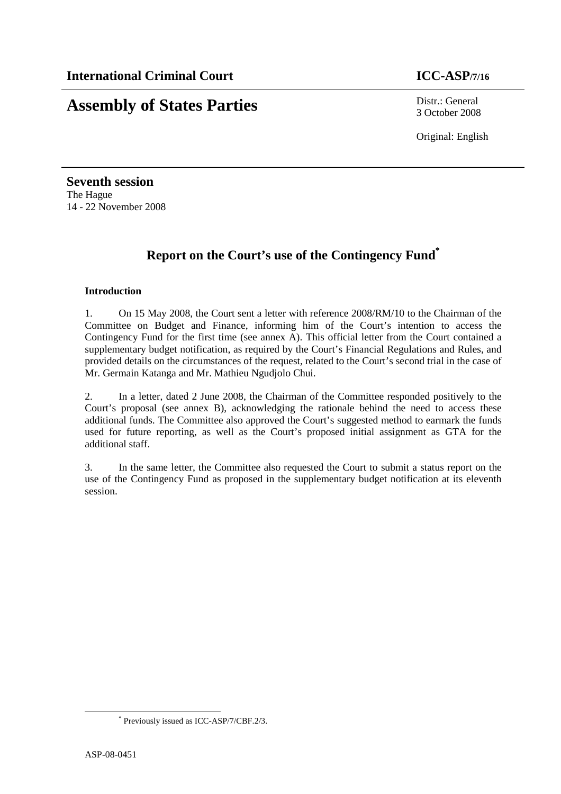# **Assembly of States Parties** Distr.: General

3 October 2008

Original: English

**Seventh session**  The Hague 14 - 22 November 2008

# **Report on the Court's use of the Contingency Fund\***

#### **Introduction**

1. On 15 May 2008, the Court sent a letter with reference 2008/RM/10 to the Chairman of the Committee on Budget and Finance, informing him of the Court's intention to access the Contingency Fund for the first time (see annex A). This official letter from the Court contained a supplementary budget notification, as required by the Court's Financial Regulations and Rules, and provided details on the circumstances of the request, related to the Court's second trial in the case of Mr. Germain Katanga and Mr. Mathieu Ngudjolo Chui.

2. In a letter, dated 2 June 2008, the Chairman of the Committee responded positively to the Court's proposal (see annex B), acknowledging the rationale behind the need to access these additional funds. The Committee also approved the Court's suggested method to earmark the funds used for future reporting, as well as the Court's proposed initial assignment as GTA for the additional staff.

3. In the same letter, the Committee also requested the Court to submit a status report on the use of the Contingency Fund as proposed in the supplementary budget notification at its eleventh session.

 $\overline{a}$ 

<sup>\*</sup> Previously issued as ICC-ASP/7/CBF.2/3.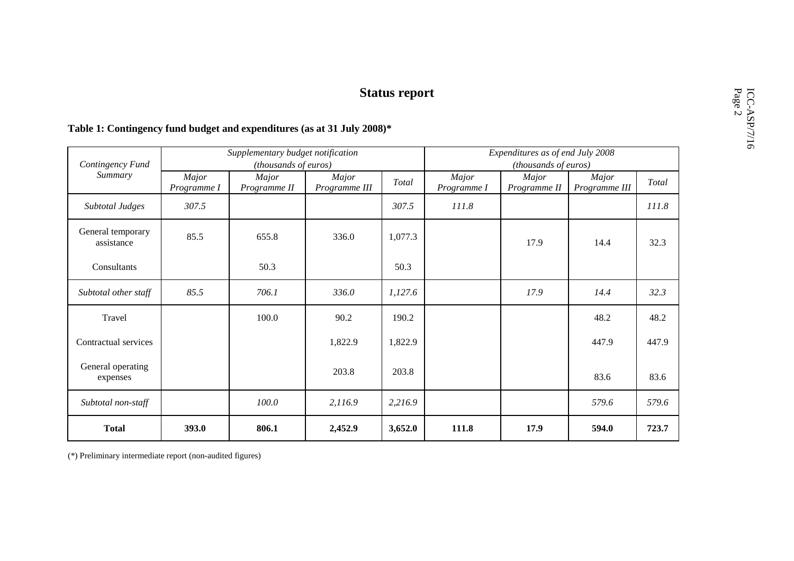| Contingency Fund<br>Summary     | Supplementary budget notification |              |               |         | Expenditures as of end July 2008 |              |               |       |
|---------------------------------|-----------------------------------|--------------|---------------|---------|----------------------------------|--------------|---------------|-------|
|                                 | (thousands of euros)              |              |               |         | (thousands of euros)             |              |               |       |
|                                 | Major                             | Major        | Major         | Total   | Major                            | Major        | Major         | Total |
|                                 | Programme I                       | Programme II | Programme III |         | Programme I                      | Programme II | Programme III |       |
| <b>Subtotal Judges</b>          | 307.5                             |              |               | 307.5   | 111.8                            |              |               | 111.8 |
| General temporary<br>assistance | 85.5                              | 655.8        | 336.0         | 1,077.3 |                                  | 17.9         | 14.4          | 32.3  |
| Consultants                     |                                   | 50.3         |               | 50.3    |                                  |              |               |       |
| Subtotal other staff            | 85.5                              | 706.1        | 336.0         | 1,127.6 |                                  | 17.9         | 14.4          | 32.3  |
| Travel                          |                                   | 100.0        | 90.2          | 190.2   |                                  |              | 48.2          | 48.2  |
| Contractual services            |                                   |              | 1,822.9       | 1,822.9 |                                  |              | 447.9         | 447.9 |
| General operating<br>expenses   |                                   |              | 203.8         | 203.8   |                                  |              | 83.6          | 83.6  |
| Subtotal non-staff              |                                   | 100.0        | 2,116.9       | 2,216.9 |                                  |              | 579.6         | 579.6 |
| <b>Total</b>                    | 393.0                             | 806.1        | 2,452.9       | 3,652.0 | 111.8                            | 17.9         | 594.0         | 723.7 |

# Fiable 1: Contingency fund budget and expenditures (as at 31 July 2008)\*

(\*) Preliminary intermediate report (non-audited figures)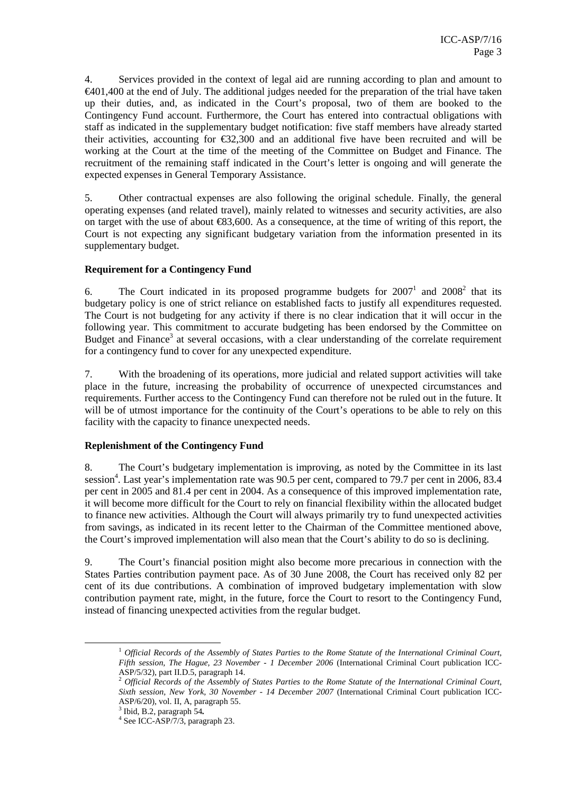4. Services provided in the context of legal aid are running according to plan and amount to €401,400 at the end of July. The additional judges needed for the preparation of the trial have taken up their duties, and, as indicated in the Court's proposal, two of them are booked to the Contingency Fund account. Furthermore, the Court has entered into contractual obligations with staff as indicated in the supplementary budget notification: five staff members have already started their activities, accounting for  $\epsilon$ 32,300 and an additional five have been recruited and will be working at the Court at the time of the meeting of the Committee on Budget and Finance. The recruitment of the remaining staff indicated in the Court's letter is ongoing and will generate the expected expenses in General Temporary Assistance.

5. Other contractual expenses are also following the original schedule. Finally, the general operating expenses (and related travel), mainly related to witnesses and security activities, are also on target with the use of about  $\epsilon$ 83,600. As a consequence, at the time of writing of this report, the Court is not expecting any significant budgetary variation from the information presented in its supplementary budget.

#### **Requirement for a Contingency Fund**

6. The Court indicated in its proposed programme budgets for  $2007<sup>1</sup>$  and  $2008<sup>2</sup>$  that its budgetary policy is one of strict reliance on established facts to justify all expenditures requested. The Court is not budgeting for any activity if there is no clear indication that it will occur in the following year. This commitment to accurate budgeting has been endorsed by the Committee on Budget and Finance<sup>3</sup> at several occasions, with a clear understanding of the correlate requirement for a contingency fund to cover for any unexpected expenditure.

7. With the broadening of its operations, more judicial and related support activities will take place in the future, increasing the probability of occurrence of unexpected circumstances and requirements. Further access to the Contingency Fund can therefore not be ruled out in the future. It will be of utmost importance for the continuity of the Court's operations to be able to rely on this facility with the capacity to finance unexpected needs.

#### **Replenishment of the Contingency Fund**

8. The Court's budgetary implementation is improving, as noted by the Committee in its last session<sup>4</sup>. Last year's implementation rate was 90.5 per cent, compared to 79.7 per cent in 2006, 83.4 per cent in 2005 and 81.4 per cent in 2004. As a consequence of this improved implementation rate, it will become more difficult for the Court to rely on financial flexibility within the allocated budget to finance new activities. Although the Court will always primarily try to fund unexpected activities from savings, as indicated in its recent letter to the Chairman of the Committee mentioned above, the Court's improved implementation will also mean that the Court's ability to do so is declining.

9. The Court's financial position might also become more precarious in connection with the States Parties contribution payment pace. As of 30 June 2008, the Court has received only 82 per cent of its due contributions. A combination of improved budgetary implementation with slow contribution payment rate, might, in the future, force the Court to resort to the Contingency Fund, instead of financing unexpected activities from the regular budget.

 $\overline{a}$ 

<sup>1</sup> *Official Records of the Assembly of States Parties to the Rome Statute of the International Criminal Court, Fifth session, The Hague, 23 November - 1 December 2006* (International Criminal Court publication ICC-ASP/5/32), part II.D.5, paragraph 14.

<sup>2</sup> *Official Records of the Assembly of States Parties to the Rome Statute of the International Criminal Court, Sixth session, New York, 30 November - 14 December 2007* (International Criminal Court publication ICC-ASP/6/20), vol. II, A, paragraph 55.

<sup>3</sup> Ibid, B.2, paragraph 54*.*

<sup>4</sup> See ICC-ASP/7/3, paragraph 23.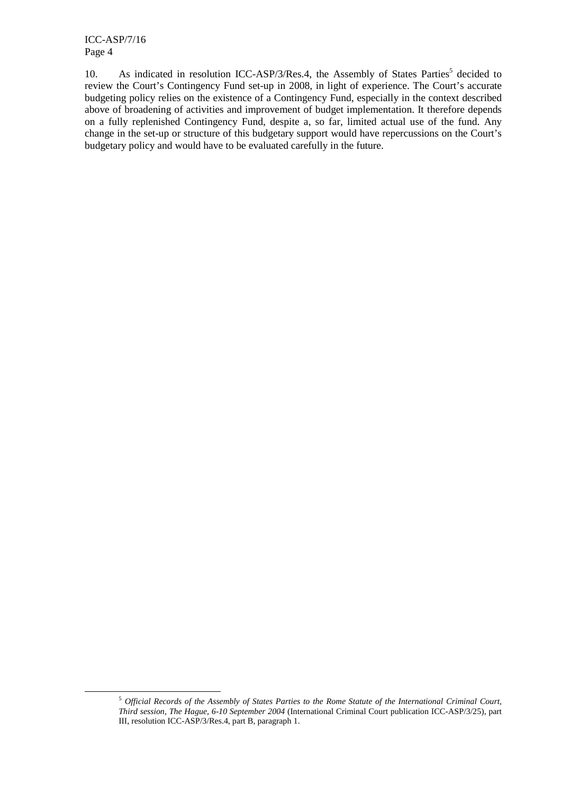ICC-ASP/7/16 Page 4

 $\overline{a}$ 

10. As indicated in resolution ICC-ASP/3/Res.4, the Assembly of States Parties<sup>5</sup> decided to review the Court's Contingency Fund set-up in 2008, in light of experience. The Court's accurate budgeting policy relies on the existence of a Contingency Fund, especially in the context described above of broadening of activities and improvement of budget implementation. It therefore depends on a fully replenished Contingency Fund, despite a, so far, limited actual use of the fund. Any change in the set-up or structure of this budgetary support would have repercussions on the Court's budgetary policy and would have to be evaluated carefully in the future.

<sup>5</sup> *Official Records of the Assembly of States Parties to the Rome Statute of the International Criminal Court, Third session, The Hague, 6-10 September 2004* (International Criminal Court publication ICC-ASP/3/25), part III, resolution ICC-ASP/3/Res.4, part B, paragraph 1.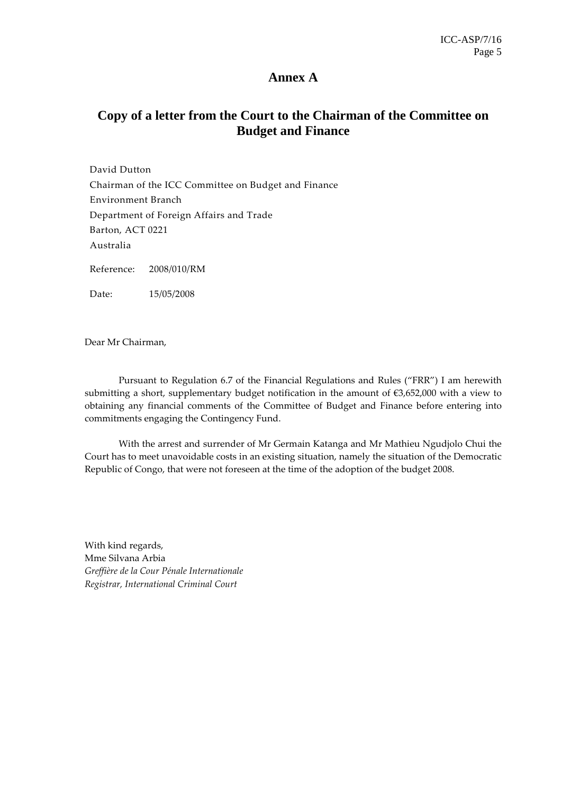## **Annex A**

## **Copy of a letter from the Court to the Chairman of the Committee on Budget and Finance**

David Dutton Chairman of the ICC Committee on Budget and Finance Environment Branch Department of Foreign Affairs and Trade Barton, ACT 0221 Australia Reference: 2008/010/RM Date: 15/05/2008

Dear Mr Chairman,

Pursuant to Regulation 6.7 of the Financial Regulations and Rules ("FRR") I am herewith submitting a short, supplementary budget notification in the amount of  $\epsilon$ 3,652,000 with a view to obtaining any financial comments of the Committee of Budget and Finance before entering into commitments engaging the Contingency Fund.

With the arrest and surrender of Mr Germain Katanga and Mr Mathieu Ngudjolo Chui the Court has to meet unavoidable costs in an existing situation, namely the situation of the Democratic Republic of Congo, that were not foreseen at the time of the adoption of the budget 2008.

With kind regards, Mme Silvana Arbia Greffière de la Cour Pénale Internationale Registrar, International Criminal Court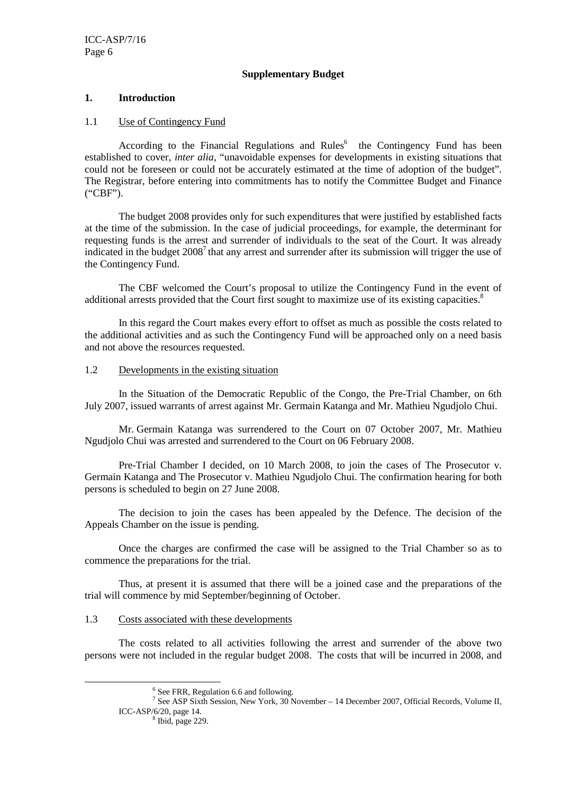#### **Supplementary Budget**

#### **1. Introduction**

#### 1.1 Use of Contingency Fund

According to the Financial Regulations and  $Rules<sup>6</sup>$  the Contingency Fund has been established to cover, *inter alia*, "unavoidable expenses for developments in existing situations that could not be foreseen or could not be accurately estimated at the time of adoption of the budget". The Registrar, before entering into commitments has to notify the Committee Budget and Finance ("CBF").

The budget 2008 provides only for such expenditures that were justified by established facts at the time of the submission. In the case of judicial proceedings, for example, the determinant for requesting funds is the arrest and surrender of individuals to the seat of the Court. It was already indicated in the budget  $2008<sup>7</sup>$  that any arrest and surrender after its submission will trigger the use of the Contingency Fund.

The CBF welcomed the Court's proposal to utilize the Contingency Fund in the event of additional arrests provided that the Court first sought to maximize use of its existing capacities.<sup>8</sup>

In this regard the Court makes every effort to offset as much as possible the costs related to the additional activities and as such the Contingency Fund will be approached only on a need basis and not above the resources requested.

#### 1.2 Developments in the existing situation

In the Situation of the Democratic Republic of the Congo, the Pre-Trial Chamber, on 6th July 2007, issued warrants of arrest against Mr. Germain Katanga and Mr. Mathieu Ngudjolo Chui.

Mr. Germain Katanga was surrendered to the Court on 07 October 2007, Mr. Mathieu Ngudjolo Chui was arrested and surrendered to the Court on 06 February 2008.

Pre-Trial Chamber I decided, on 10 March 2008, to join the cases of The Prosecutor v. Germain Katanga and The Prosecutor v. Mathieu Ngudjolo Chui. The confirmation hearing for both persons is scheduled to begin on 27 June 2008.

The decision to join the cases has been appealed by the Defence. The decision of the Appeals Chamber on the issue is pending.

Once the charges are confirmed the case will be assigned to the Trial Chamber so as to commence the preparations for the trial.

Thus, at present it is assumed that there will be a joined case and the preparations of the trial will commence by mid September/beginning of October.

#### 1.3 Costs associated with these developments

The costs related to all activities following the arrest and surrender of the above two persons were not included in the regular budget 2008. The costs that will be incurred in 2008, and

 $\overline{a}$ 

<sup>6</sup> See FRR, Regulation 6.6 and following.

<sup>&</sup>lt;sup>7</sup> See ASP Sixth Session, New York, 30 November – 14 December 2007, Official Records, Volume II, ICC-ASP/6/20, page 14.

 $8$  Ibid, page 229.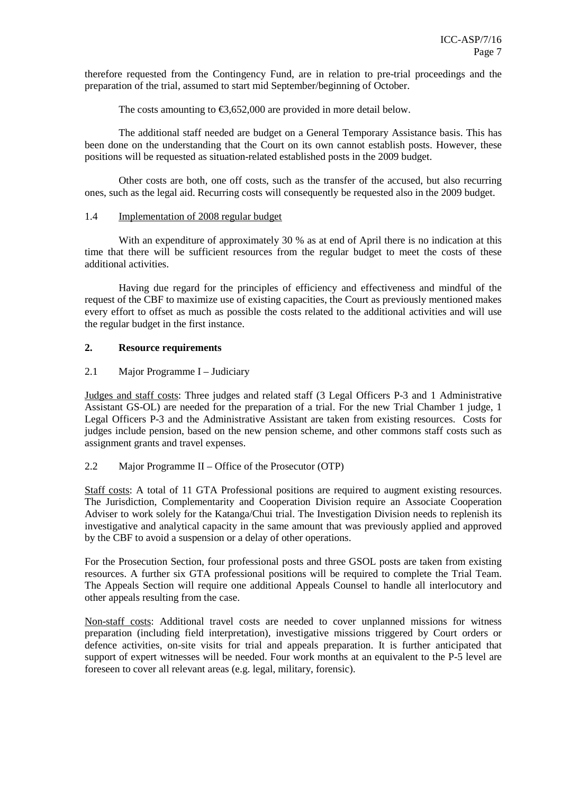therefore requested from the Contingency Fund, are in relation to pre-trial proceedings and the preparation of the trial, assumed to start mid September/beginning of October.

The costs amounting to  $\epsilon$ 3,652,000 are provided in more detail below.

The additional staff needed are budget on a General Temporary Assistance basis. This has been done on the understanding that the Court on its own cannot establish posts. However, these positions will be requested as situation-related established posts in the 2009 budget.

Other costs are both, one off costs, such as the transfer of the accused, but also recurring ones, such as the legal aid. Recurring costs will consequently be requested also in the 2009 budget.

#### 1.4 Implementation of 2008 regular budget

With an expenditure of approximately 30 % as at end of April there is no indication at this time that there will be sufficient resources from the regular budget to meet the costs of these additional activities.

Having due regard for the principles of efficiency and effectiveness and mindful of the request of the CBF to maximize use of existing capacities, the Court as previously mentioned makes every effort to offset as much as possible the costs related to the additional activities and will use the regular budget in the first instance.

#### **2. Resource requirements**

#### 2.1 Major Programme I – Judiciary

Judges and staff costs: Three judges and related staff (3 Legal Officers P-3 and 1 Administrative Assistant GS-OL) are needed for the preparation of a trial. For the new Trial Chamber 1 judge, 1 Legal Officers P-3 and the Administrative Assistant are taken from existing resources. Costs for judges include pension, based on the new pension scheme, and other commons staff costs such as assignment grants and travel expenses.

#### 2.2 Major Programme II – Office of the Prosecutor (OTP)

Staff costs: A total of 11 GTA Professional positions are required to augment existing resources. The Jurisdiction, Complementarity and Cooperation Division require an Associate Cooperation Adviser to work solely for the Katanga/Chui trial. The Investigation Division needs to replenish its investigative and analytical capacity in the same amount that was previously applied and approved by the CBF to avoid a suspension or a delay of other operations.

For the Prosecution Section, four professional posts and three GSOL posts are taken from existing resources. A further six GTA professional positions will be required to complete the Trial Team. The Appeals Section will require one additional Appeals Counsel to handle all interlocutory and other appeals resulting from the case.

Non-staff costs: Additional travel costs are needed to cover unplanned missions for witness preparation (including field interpretation), investigative missions triggered by Court orders or defence activities, on-site visits for trial and appeals preparation. It is further anticipated that support of expert witnesses will be needed. Four work months at an equivalent to the P-5 level are foreseen to cover all relevant areas (e.g. legal, military, forensic).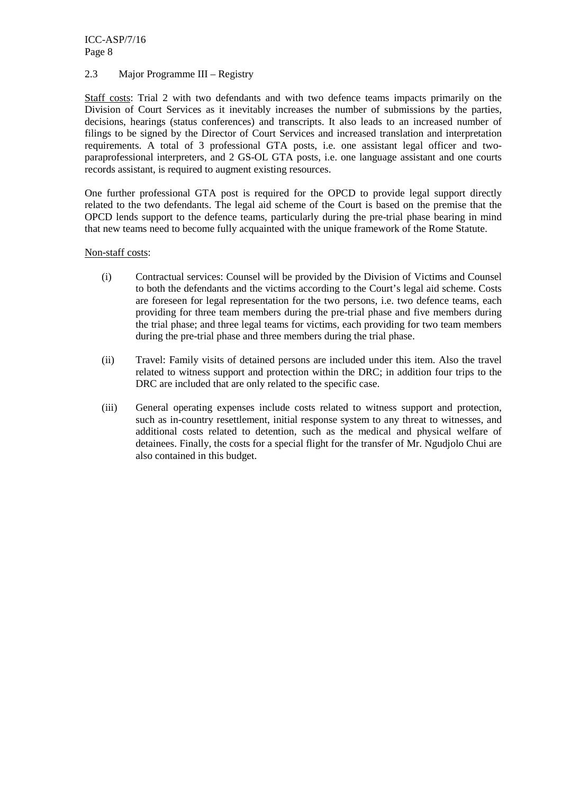ICC-ASP/7/16 Page 8

#### 2.3 Major Programme III – Registry

Staff costs: Trial 2 with two defendants and with two defence teams impacts primarily on the Division of Court Services as it inevitably increases the number of submissions by the parties, decisions, hearings (status conferences) and transcripts. It also leads to an increased number of filings to be signed by the Director of Court Services and increased translation and interpretation requirements. A total of 3 professional GTA posts, i.e. one assistant legal officer and twoparaprofessional interpreters, and 2 GS-OL GTA posts, i.e. one language assistant and one courts records assistant, is required to augment existing resources.

One further professional GTA post is required for the OPCD to provide legal support directly related to the two defendants. The legal aid scheme of the Court is based on the premise that the OPCD lends support to the defence teams, particularly during the pre-trial phase bearing in mind that new teams need to become fully acquainted with the unique framework of the Rome Statute.

#### Non-staff costs:

- (i) Contractual services: Counsel will be provided by the Division of Victims and Counsel to both the defendants and the victims according to the Court's legal aid scheme. Costs are foreseen for legal representation for the two persons, i.e. two defence teams, each providing for three team members during the pre-trial phase and five members during the trial phase; and three legal teams for victims, each providing for two team members during the pre-trial phase and three members during the trial phase.
- (ii) Travel: Family visits of detained persons are included under this item. Also the travel related to witness support and protection within the DRC; in addition four trips to the DRC are included that are only related to the specific case.
- (iii) General operating expenses include costs related to witness support and protection, such as in-country resettlement, initial response system to any threat to witnesses, and additional costs related to detention, such as the medical and physical welfare of detainees. Finally, the costs for a special flight for the transfer of Mr. Ngudjolo Chui are also contained in this budget.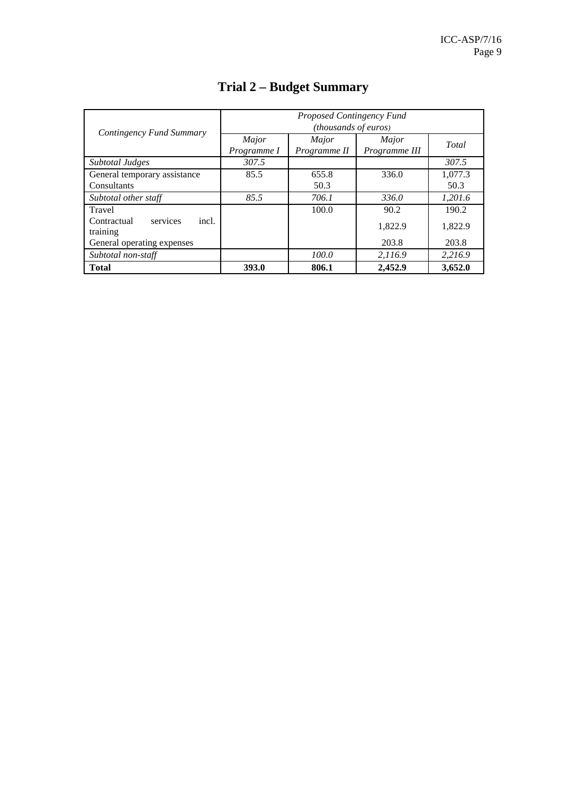|                                              | Proposed Contingency Fund |              |               |         |  |  |  |
|----------------------------------------------|---------------------------|--------------|---------------|---------|--|--|--|
| Contingency Fund Summary                     | (thousands of euros)      |              |               |         |  |  |  |
|                                              | Major                     | Major        | Major         | Total   |  |  |  |
|                                              | Programme I               | Programme II | Programme III |         |  |  |  |
| Subtotal Judges                              | 307.5                     |              |               | 307.5   |  |  |  |
| General temporary assistance                 | 85.5                      | 655.8        | 336.0         | 1,077.3 |  |  |  |
| Consultants                                  |                           | 50.3         |               | 50.3    |  |  |  |
| Subtotal other staff                         | 85.5                      | 706.1        | 336.0         | 1,201.6 |  |  |  |
| Travel                                       |                           | 100.0        | 90.2          | 190.2   |  |  |  |
| services<br>incl.<br>Contractual<br>training |                           |              | 1.822.9       | 1,822.9 |  |  |  |
| General operating expenses                   |                           |              | 203.8         | 203.8   |  |  |  |
| Subtotal non-staff                           |                           | 100.0        | 2,116.9       | 2.216.9 |  |  |  |
| <b>Total</b>                                 | 393.0                     | 806.1        | 2,452.9       | 3,652.0 |  |  |  |

# **Trial 2 – Budget Summary**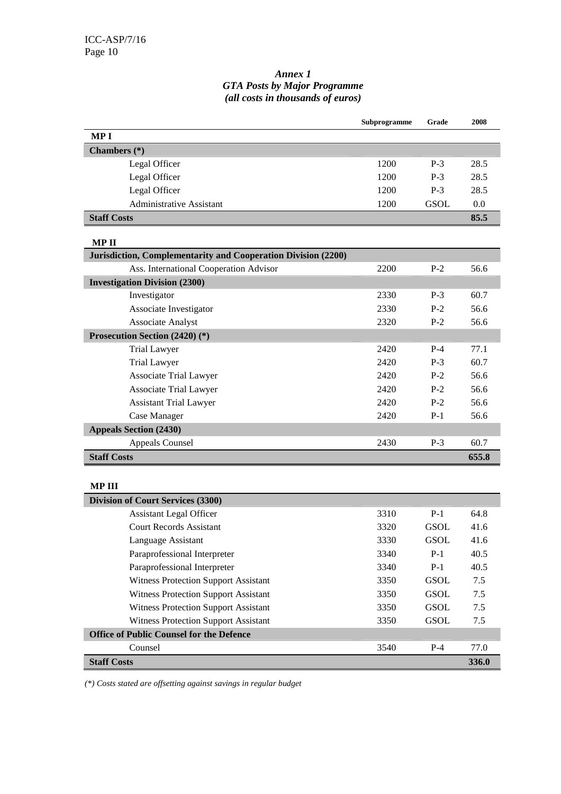#### *Annex 1 GTA Posts by Major Programme (all costs in thousands of euros)*

|                                                               | Subprogramme | Grade       | 2008  |  |  |
|---------------------------------------------------------------|--------------|-------------|-------|--|--|
| <b>MPI</b>                                                    |              |             |       |  |  |
| Chambers (*)                                                  |              |             |       |  |  |
| Legal Officer                                                 | 1200         | $P-3$       | 28.5  |  |  |
| Legal Officer                                                 | 1200         | $P-3$       | 28.5  |  |  |
| Legal Officer                                                 | 1200         | $P-3$       | 28.5  |  |  |
| <b>Administrative Assistant</b>                               | 1200         | <b>GSOL</b> | 0.0   |  |  |
| <b>Staff Costs</b>                                            |              |             | 85.5  |  |  |
| <b>MPII</b>                                                   |              |             |       |  |  |
| Jurisdiction, Complementarity and Cooperation Division (2200) |              |             |       |  |  |
| Ass. International Cooperation Advisor                        | 2200         | $P-2$       | 56.6  |  |  |
| <b>Investigation Division (2300)</b>                          |              |             |       |  |  |
| Investigator                                                  | 2330         | $P-3$       | 60.7  |  |  |
| Associate Investigator                                        | 2330         | $P-2$       | 56.6  |  |  |
| <b>Associate Analyst</b>                                      | 2320         | $P-2$       | 56.6  |  |  |
| Prosecution Section (2420) (*)                                |              |             |       |  |  |
| <b>Trial Lawyer</b>                                           | 2420         | $P-4$       | 77.1  |  |  |
| <b>Trial Lawyer</b>                                           | 2420         | $P-3$       | 60.7  |  |  |
| <b>Associate Trial Lawyer</b>                                 | 2420         | $P-2$       | 56.6  |  |  |
| <b>Associate Trial Lawyer</b>                                 | 2420         | $P-2$       | 56.6  |  |  |
| <b>Assistant Trial Lawyer</b>                                 | 2420         | $P-2$       | 56.6  |  |  |
| Case Manager                                                  | 2420         | $P-1$       | 56.6  |  |  |
| <b>Appeals Section (2430)</b>                                 |              |             |       |  |  |
| <b>Appeals Counsel</b>                                        | 2430         | $P-3$       | 60.7  |  |  |
| <b>Staff Costs</b>                                            |              |             | 655.8 |  |  |
| <b>MPIII</b>                                                  |              |             |       |  |  |
| Division of Court Services (3300)                             |              |             |       |  |  |
| <b>Assistant Legal Officer</b>                                | 3310         | $P-1$       | 64.8  |  |  |
| <b>Court Records Assistant</b>                                | 3320         | <b>GSOL</b> | 41.6  |  |  |
| Language Assistant                                            | 3330         | <b>GSOL</b> | 41.6  |  |  |
| Paraprofessional Interpreter                                  | 3340         | $P-1$       | 40.5  |  |  |
| Paraprofessional Interpreter                                  | 3340         | $P-1$       | 40.5  |  |  |
| Witness Protection Support Assistant                          | 3350         | <b>GSOL</b> | 7.5   |  |  |
| Witness Protection Support Assistant                          | 3350         | <b>GSOL</b> | 7.5   |  |  |
| <b>Witness Protection Support Assistant</b>                   | 3350         | <b>GSOL</b> | 7.5   |  |  |
| <b>Witness Protection Support Assistant</b>                   | 3350         | <b>GSOL</b> | 7.5   |  |  |
| <b>Office of Public Counsel for the Defence</b>               |              |             |       |  |  |
| Counsel                                                       | 3540         | $P-4$       | 77.0  |  |  |
| <b>Staff Costs</b>                                            |              |             | 336.0 |  |  |
|                                                               |              |             |       |  |  |

*(\*) Costs stated are offsetting against savings in regular budget*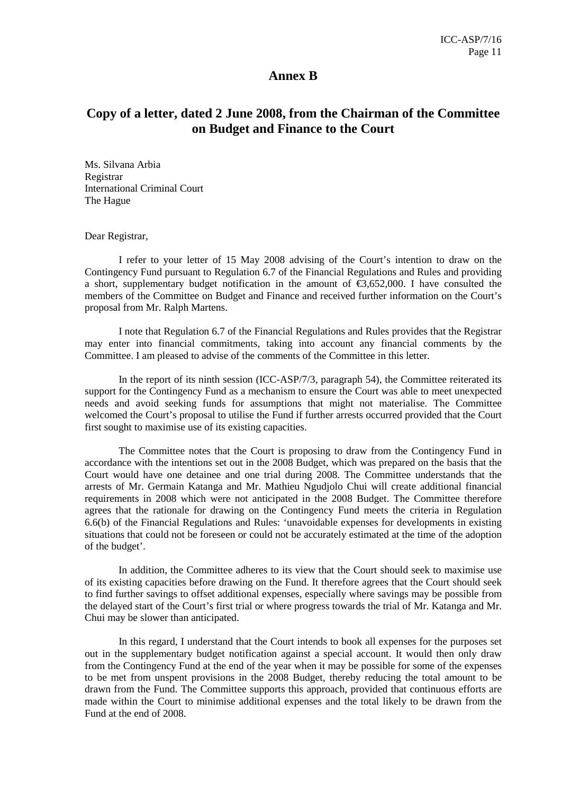#### **Annex B**

## **Copy of a letter, dated 2 June 2008, from the Chairman of the Committee on Budget and Finance to the Court**

Ms. Silvana Arbia Registrar International Criminal Court The Hague

Dear Registrar,

I refer to your letter of 15 May 2008 advising of the Court's intention to draw on the Contingency Fund pursuant to Regulation 6.7 of the Financial Regulations and Rules and providing a short, supplementary budget notification in the amount of  $\epsilon$ 3,652,000. I have consulted the members of the Committee on Budget and Finance and received further information on the Court's proposal from Mr. Ralph Martens.

I note that Regulation 6.7 of the Financial Regulations and Rules provides that the Registrar may enter into financial commitments, taking into account any financial comments by the Committee. I am pleased to advise of the comments of the Committee in this letter.

In the report of its ninth session (ICC-ASP/7/3, paragraph 54), the Committee reiterated its support for the Contingency Fund as a mechanism to ensure the Court was able to meet unexpected needs and avoid seeking funds for assumptions that might not materialise. The Committee welcomed the Court's proposal to utilise the Fund if further arrests occurred provided that the Court first sought to maximise use of its existing capacities.

The Committee notes that the Court is proposing to draw from the Contingency Fund in accordance with the intentions set out in the 2008 Budget, which was prepared on the basis that the Court would have one detainee and one trial during 2008. The Committee understands that the arrests of Mr. Germain Katanga and Mr. Mathieu Ngudjolo Chui will create additional financial requirements in 2008 which were not anticipated in the 2008 Budget. The Committee therefore agrees that the rationale for drawing on the Contingency Fund meets the criteria in Regulation 6.6(b) of the Financial Regulations and Rules: 'unavoidable expenses for developments in existing situations that could not be foreseen or could not be accurately estimated at the time of the adoption of the budget'.

In addition, the Committee adheres to its view that the Court should seek to maximise use of its existing capacities before drawing on the Fund. It therefore agrees that the Court should seek to find further savings to offset additional expenses, especially where savings may be possible from the delayed start of the Court's first trial or where progress towards the trial of Mr. Katanga and Mr. Chui may be slower than anticipated.

In this regard, I understand that the Court intends to book all expenses for the purposes set out in the supplementary budget notification against a special account. It would then only draw from the Contingency Fund at the end of the year when it may be possible for some of the expenses to be met from unspent provisions in the 2008 Budget, thereby reducing the total amount to be drawn from the Fund. The Committee supports this approach, provided that continuous efforts are made within the Court to minimise additional expenses and the total likely to be drawn from the Fund at the end of 2008.